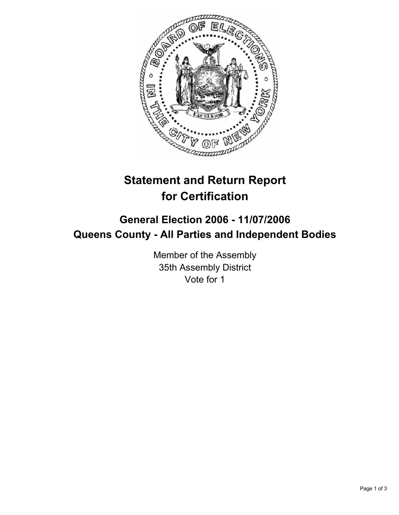

# **Statement and Return Report for Certification**

## **General Election 2006 - 11/07/2006 Queens County - All Parties and Independent Bodies**

Member of the Assembly 35th Assembly District Vote for 1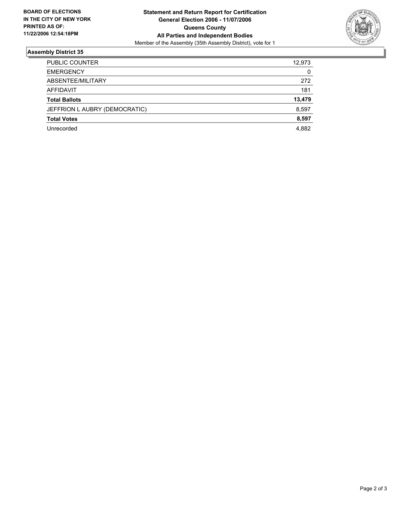

### **Assembly District 35**

| <b>PUBLIC COUNTER</b>         | 12,973 |
|-------------------------------|--------|
| <b>EMERGENCY</b>              | 0      |
| ABSENTEE/MILITARY             | 272    |
| AFFIDAVIT                     | 181    |
| <b>Total Ballots</b>          | 13,479 |
| JEFFRION L AUBRY (DEMOCRATIC) | 8,597  |
| <b>Total Votes</b>            | 8,597  |
| Unrecorded                    | 4,882  |